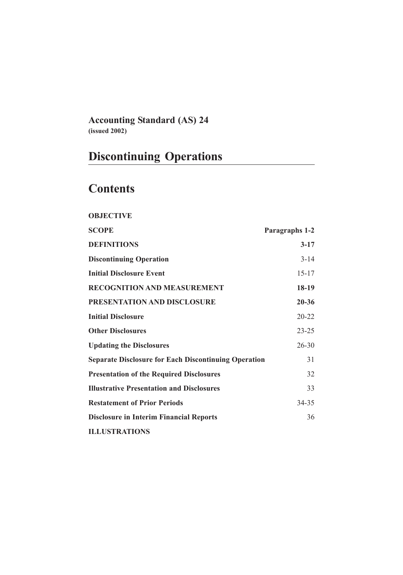**Accounting Standard (AS) 24 (issued 2002)**

# **Discontinuing Operations**

# **Contents**

| <b>OBJECTIVE</b>                                            |                |
|-------------------------------------------------------------|----------------|
| <b>SCOPE</b>                                                | Paragraphs 1-2 |
| <b>DEFINITIONS</b>                                          | $3 - 17$       |
| <b>Discontinuing Operation</b>                              | $3 - 14$       |
| <b>Initial Disclosure Event</b>                             | $15 - 17$      |
| <b>RECOGNITION AND MEASUREMENT</b>                          | $18-19$        |
| PRESENTATION AND DISCLOSURE                                 | $20 - 36$      |
| <b>Initial Disclosure</b>                                   | $20 - 22$      |
| <b>Other Disclosures</b>                                    | $23 - 25$      |
| <b>Updating the Disclosures</b>                             | $26 - 30$      |
| <b>Separate Disclosure for Each Discontinuing Operation</b> | 31             |
| <b>Presentation of the Required Disclosures</b>             | 32             |
| <b>Illustrative Presentation and Disclosures</b>            | 33             |
| <b>Restatement of Prior Periods</b>                         | $34 - 35$      |
| <b>Disclosure in Interim Financial Reports</b>              | 36             |
| <b>ILLUSTRATIONS</b>                                        |                |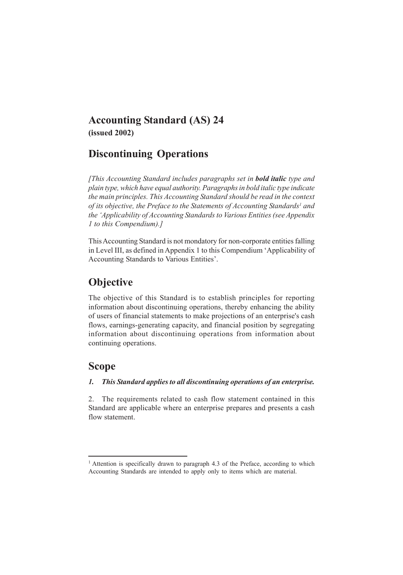## **Accounting Standard (AS) 24 (issued 2002)**

# **Discontinuing Operations**

*[This Accounting Standard includes paragraphs set in bold italic type and plain type, which have equal authority. Paragraphs in bold italic type indicate the main principles. This Accounting Standard should be read in the context* of its objective, the Preface to the Statements of Accounting Standards<sup>1</sup> and *the 'Applicability of Accounting Standards to Various Entities (see Appendix 1 to this Compendium).]*

This Accounting Standard is not mondatory for non-corporate entities falling in Level III, as defined in Appendix 1 to this Compendium 'Applicability of Accounting Standards to Various Entities'.

# **Objective**

The objective of this Standard is to establish principles for reporting information about discontinuing operations, thereby enhancing the ability of users of financial statements to make projections of an enterprise's cash flows, earnings-generating capacity, and financial position by segregating information about discontinuing operations from information about continuing operations.

## **Scope**

## *1. This Standard applies to all discontinuing operations of an enterprise.*

2. The requirements related to cash flow statement contained in this Standard are applicable where an enterprise prepares and presents a cash flow statement.

<sup>&</sup>lt;sup>1</sup> Attention is specifically drawn to paragraph 4.3 of the Preface, according to which Accounting Standards are intended to apply only to items which are material.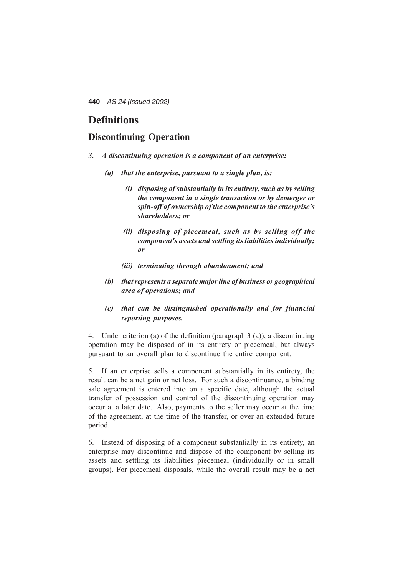## **Definitions**

### **Discontinuing Operation**

- *3. A discontinuing operation is a component of an enterprise:*
	- *(a) that the enterprise, pursuant to a single plan, is:*
		- *(i) disposing of substantially in its entirety, such as by selling the component in a single transaction or by demerger or spin-off of ownership of the component to the enterprise's shareholders; or*
		- *(ii) disposing of piecemeal, such as by selling off the component's assets and settling its liabilities individually; or*
		- *(iii) terminating through abandonment; and*
	- *(b) that represents a separate major line of business or geographical area of operations; and*
	- *(c) that can be distinguished operationally and for financial reporting purposes.*

4. Under criterion (a) of the definition (paragraph 3 (a)), a discontinuing operation may be disposed of in its entirety or piecemeal, but always pursuant to an overall plan to discontinue the entire component.

5. If an enterprise sells a component substantially in its entirety, the result can be a net gain or net loss. For such a discontinuance, a binding sale agreement is entered into on a specific date, although the actual transfer of possession and control of the discontinuing operation may occur at a later date. Also, payments to the seller may occur at the time of the agreement, at the time of the transfer, or over an extended future period.

6. Instead of disposing of a component substantially in its entirety, an enterprise may discontinue and dispose of the component by selling its assets and settling its liabilities piecemeal (individually or in small groups). For piecemeal disposals, while the overall result may be a net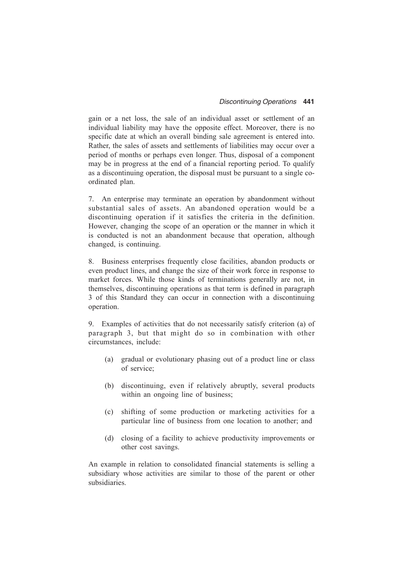gain or a net loss, the sale of an individual asset or settlement of an individual liability may have the opposite effect. Moreover, there is no specific date at which an overall binding sale agreement is entered into. Rather, the sales of assets and settlements of liabilities may occur over a period of months or perhaps even longer. Thus, disposal of a component may be in progress at the end of a financial reporting period. To qualify as a discontinuing operation, the disposal must be pursuant to a single coordinated plan.

7. An enterprise may terminate an operation by abandonment without substantial sales of assets. An abandoned operation would be a discontinuing operation if it satisfies the criteria in the definition. However, changing the scope of an operation or the manner in which it is conducted is not an abandonment because that operation, although changed, is continuing.

8. Business enterprises frequently close facilities, abandon products or even product lines, and change the size of their work force in response to market forces. While those kinds of terminations generally are not, in themselves, discontinuing operations as that term is defined in paragraph 3 of this Standard they can occur in connection with a discontinuing operation.

9. Examples of activities that do not necessarily satisfy criterion (a) of paragraph 3, but that might do so in combination with other circumstances, include:

- (a) gradual or evolutionary phasing out of a product line or class of service;
- (b) discontinuing, even if relatively abruptly, several products within an ongoing line of business;
- (c) shifting of some production or marketing activities for a particular line of business from one location to another; and
- (d) closing of a facility to achieve productivity improvements or other cost savings.

An example in relation to consolidated financial statements is selling a subsidiary whose activities are similar to those of the parent or other subsidiaries.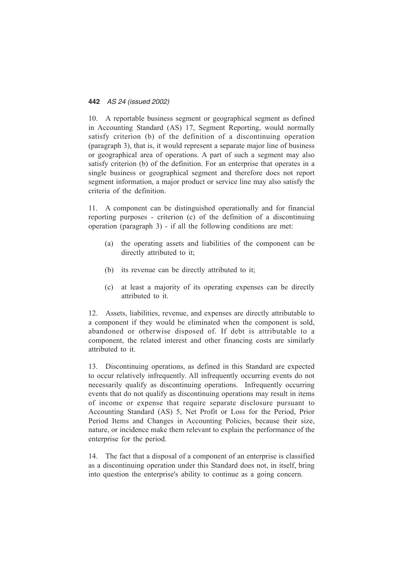10. A reportable business segment or geographical segment as defined in Accounting Standard (AS) 17, Segment Reporting, would normally satisfy criterion (b) of the definition of a discontinuing operation (paragraph 3), that is, it would represent a separate major line of business or geographical area of operations. A part of such a segment may also satisfy criterion (b) of the definition. For an enterprise that operates in a single business or geographical segment and therefore does not report segment information, a major product or service line may also satisfy the criteria of the definition.

11. A component can be distinguished operationally and for financial reporting purposes - criterion (c) of the definition of a discontinuing operation (paragraph 3) - if all the following conditions are met:

- (a) the operating assets and liabilities of the component can be directly attributed to it;
- (b) its revenue can be directly attributed to it;
- (c) at least a majority of its operating expenses can be directly attributed to it.

12. Assets, liabilities, revenue, and expenses are directly attributable to a component if they would be eliminated when the component is sold, abandoned or otherwise disposed of. If debt is attributable to a component, the related interest and other financing costs are similarly attributed to it.

13. Discontinuing operations, as defined in this Standard are expected to occur relatively infrequently. All infrequently occurring events do not necessarily qualify as discontinuing operations. Infrequently occurring events that do not qualify as discontinuing operations may result in items of income or expense that require separate disclosure pursuant to Accounting Standard (AS) 5, Net Profit or Loss for the Period, Prior Period Items and Changes in Accounting Policies, because their size, nature, or incidence make them relevant to explain the performance of the enterprise for the period.

14. The fact that a disposal of a component of an enterprise is classified as a discontinuing operation under this Standard does not, in itself, bring into question the enterprise's ability to continue as a going concern.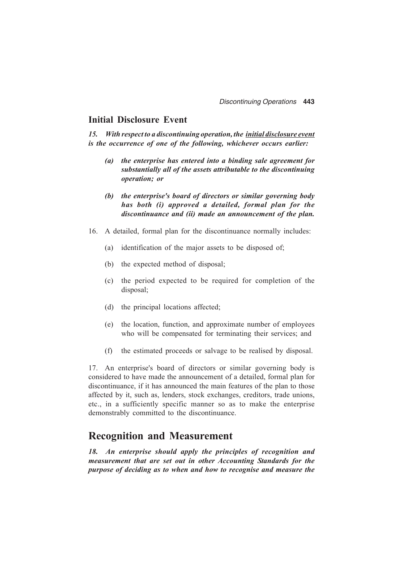### **Initial Disclosure Event**

*15. With respect to a discontinuing operation, the initial disclosure event is the occurrence of one of the following, whichever occurs earlier:*

- *(a) the enterprise has entered into a binding sale agreement for substantially all of the assets attributable to the discontinuing operation; or*
- *(b) the enterprise's board of directors or similar governing body has both (i) approved a detailed, formal plan for the discontinuance and (ii) made an announcement of the plan.*
- 16. A detailed, formal plan for the discontinuance normally includes:
	- (a) identification of the major assets to be disposed of;
	- (b) the expected method of disposal;
	- (c) the period expected to be required for completion of the disposal;
	- (d) the principal locations affected;
	- (e) the location, function, and approximate number of employees who will be compensated for terminating their services; and
	- (f) the estimated proceeds or salvage to be realised by disposal.

17. An enterprise's board of directors or similar governing body is considered to have made the announcement of a detailed, formal plan for discontinuance, if it has announced the main features of the plan to those affected by it, such as, lenders, stock exchanges, creditors, trade unions, etc., in a sufficiently specific manner so as to make the enterprise demonstrably committed to the discontinuance.

## **Recognition and Measurement**

*18. An enterprise should apply the principles of recognition and measurement that are set out in other Accounting Standards for the purpose of deciding as to when and how to recognise and measure the*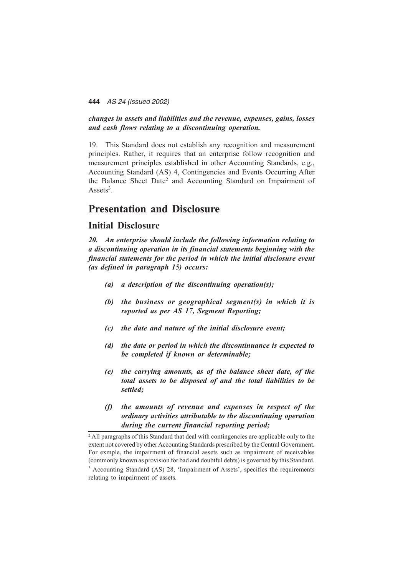#### *changes in assets and liabilities and the revenue, expenses, gains, losses and cash flows relating to a discontinuing operation.*

19. This Standard does not establish any recognition and measurement principles. Rather, it requires that an enterprise follow recognition and measurement principles established in other Accounting Standards, e.g., Accounting Standard (AS) 4, Contingencies and Events Occurring After the Balance Sheet Date2 and Accounting Standard on Impairment of Assets<sup>3</sup>.

## **Presentation and Disclosure**

#### **Initial Disclosure**

*20. An enterprise should include the following information relating to a discontinuing operation in its financial statements beginning with the financial statements for the period in which the initial disclosure event (as defined in paragraph 15) occurs:*

- *(a) a description of the discontinuing operation(s);*
- *(b) the business or geographical segment(s) in which it is reported as per AS 17, Segment Reporting;*
- *(c) the date and nature of the initial disclosure event;*
- *(d) the date or period in which the discontinuance is expected to be completed if known or determinable;*
- *(e) the carrying amounts, as of the balance sheet date, of the total assets to be disposed of and the total liabilities to be settled;*
- *(f) the amounts of revenue and expenses in respect of the ordinary activities attributable to the discontinuing operation during the current financial reporting period;*

<sup>&</sup>lt;sup>2</sup> All paragraphs of this Standard that deal with contingencies are applicable only to the extent not covered by other Accounting Standards prescribed by the Central Government. For exmple, the impairment of financial assets such as impairment of receivables (commonly known as provision for bad and doubtful debts) is governed by this Standard. <sup>3</sup> Accounting Standard (AS) 28, 'Impairment of Assets', specifies the requirements relating to impairment of assets.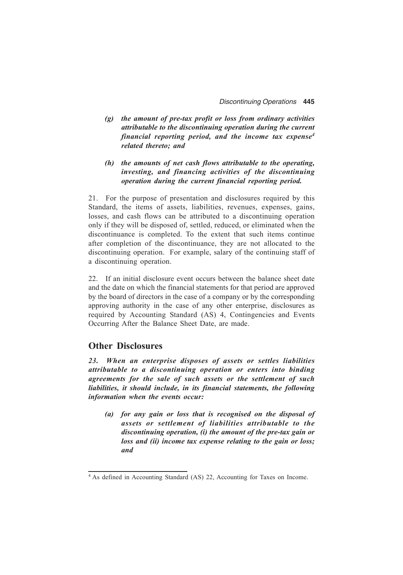- *(g) the amount of pre-tax profit or loss from ordinary activities attributable to the discontinuing operation during the current financial reporting period, and the income tax expense4 related thereto; and*
- *(h) the amounts of net cash flows attributable to the operating, investing, and financing activities of the discontinuing operation during the current financial reporting period.*

21. For the purpose of presentation and disclosures required by this Standard, the items of assets, liabilities, revenues, expenses, gains, losses, and cash flows can be attributed to a discontinuing operation only if they will be disposed of, settled, reduced, or eliminated when the discontinuance is completed. To the extent that such items continue after completion of the discontinuance, they are not allocated to the discontinuing operation. For example, salary of the continuing staff of a discontinuing operation.

22. If an initial disclosure event occurs between the balance sheet date and the date on which the financial statements for that period are approved by the board of directors in the case of a company or by the corresponding approving authority in the case of any other enterprise, disclosures as required by Accounting Standard (AS) 4, Contingencies and Events Occurring After the Balance Sheet Date, are made.

#### **Other Disclosures**

*23. When an enterprise disposes of assets or settles liabilities attributable to a discontinuing operation or enters into binding agreements for the sale of such assets or the settlement of such liabilities, it should include, in its financial statements, the following information when the events occur:*

*(a) for any gain or loss that is recognised on the disposal of assets or settlement of liabilities attributable to the discontinuing operation, (i) the amount of the pre-tax gain or loss and (ii) income tax expense relating to the gain or loss; and*

<sup>4</sup> As defined in Accounting Standard (AS) 22, Accounting for Taxes on Income.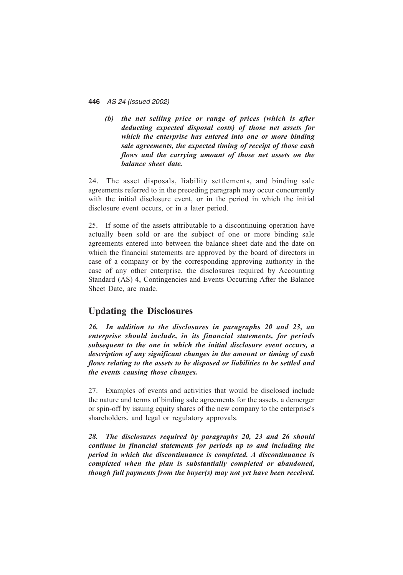*(b) the net selling price or range of prices (which is after deducting expected disposal costs) of those net assets for which the enterprise has entered into one or more binding sale agreements, the expected timing of receipt of those cash flows and the carrying amount of those net assets on the balance sheet date.*

24. The asset disposals, liability settlements, and binding sale agreements referred to in the preceding paragraph may occur concurrently with the initial disclosure event, or in the period in which the initial disclosure event occurs, or in a later period.

25. If some of the assets attributable to a discontinuing operation have actually been sold or are the subject of one or more binding sale agreements entered into between the balance sheet date and the date on which the financial statements are approved by the board of directors in case of a company or by the corresponding approving authority in the case of any other enterprise, the disclosures required by Accounting Standard (AS) 4, Contingencies and Events Occurring After the Balance Sheet Date, are made.

## **Updating the Disclosures**

*26. In addition to the disclosures in paragraphs 20 and 23, an enterprise should include, in its financial statements, for periods subsequent to the one in which the initial disclosure event occurs, a description of any significant changes in the amount or timing of cash flows relating to the assets to be disposed or liabilities to be settled and the events causing those changes.*

27. Examples of events and activities that would be disclosed include the nature and terms of binding sale agreements for the assets, a demerger or spin-off by issuing equity shares of the new company to the enterprise's shareholders, and legal or regulatory approvals.

*28. The disclosures required by paragraphs 20, 23 and 26 should continue in financial statements for periods up to and including the period in which the discontinuance is completed. A discontinuance is completed when the plan is substantially completed or abandoned, though full payments from the buyer(s) may not yet have been received.*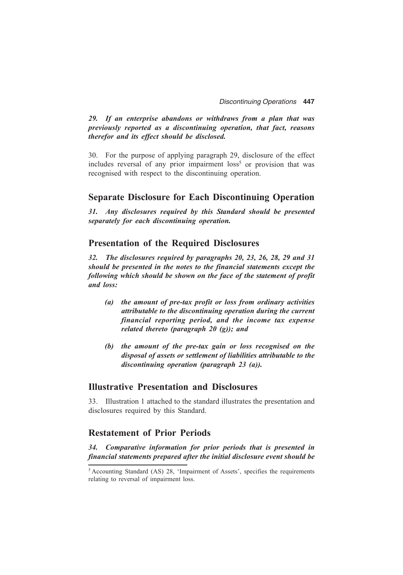*29. If an enterprise abandons or withdraws from a plan that was previously reported as a discontinuing operation, that fact, reasons therefor and its effect should be disclosed.*

30. For the purpose of applying paragraph 29, disclosure of the effect includes reversal of any prior impairment  $loss<sup>5</sup>$  or provision that was recognised with respect to the discontinuing operation.

#### **Separate Disclosure for Each Discontinuing Operation**

*31. Any disclosures required by this Standard should be presented separately for each discontinuing operation.*

### **Presentation of the Required Disclosures**

*32. The disclosures required by paragraphs 20, 23, 26, 28, 29 and 31 should be presented in the notes to the financial statements except the following which should be shown on the face of the statement of profit and loss:*

- *(a) the amount of pre-tax profit or loss from ordinary activities attributable to the discontinuing operation during the current financial reporting period, and the income tax expense related thereto (paragraph 20 (g)); and*
- *(b) the amount of the pre-tax gain or loss recognised on the disposal of assets or settlement of liabilities attributable to the discontinuing operation (paragraph 23 (a)).*

### **Illustrative Presentation and Disclosures**

33. Illustration 1 attached to the standard illustrates the presentation and disclosures required by this Standard.

### **Restatement of Prior Periods**

*34. Comparative information for prior periods that is presented in financial statements prepared after the initial disclosure event should be*

<sup>5</sup> Accounting Standard (AS) 28, 'Impairment of Assets', specifies the requirements relating to reversal of impairment loss.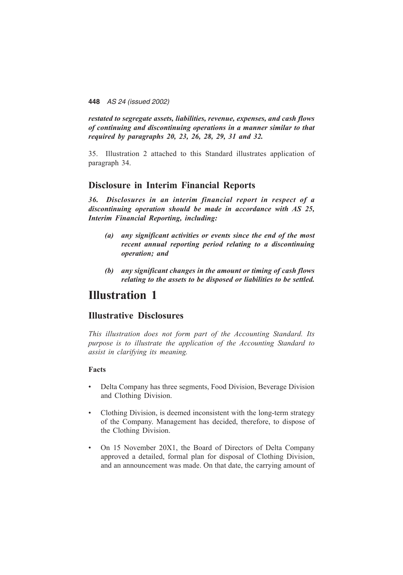*restated to segregate assets, liabilities, revenue, expenses, and cash flows of continuing and discontinuing operations in a manner similar to that required by paragraphs 20, 23, 26, 28, 29, 31 and 32.*

35. Illustration 2 attached to this Standard illustrates application of paragraph 34.

## **Disclosure in Interim Financial Reports**

*36. Disclosures in an interim financial report in respect of a discontinuing operation should be made in accordance with AS 25, Interim Financial Reporting, including:*

- *(a) any significant activities or events since the end of the most recent annual reporting period relating to a discontinuing operation; and*
- *(b) any significant changes in the amount or timing of cash flows relating to the assets to be disposed or liabilities to be settled.*

## **Illustration 1**

## **Illustrative Disclosures**

*This illustration does not form part of the Accounting Standard. Its purpose is to illustrate the application of the Accounting Standard to assist in clarifying its meaning.*

#### **Facts**

- Delta Company has three segments, Food Division, Beverage Division and Clothing Division.
- Clothing Division, is deemed inconsistent with the long-term strategy of the Company. Management has decided, therefore, to dispose of the Clothing Division.
- On 15 November 20X1, the Board of Directors of Delta Company approved a detailed, formal plan for disposal of Clothing Division, and an announcement was made. On that date, the carrying amount of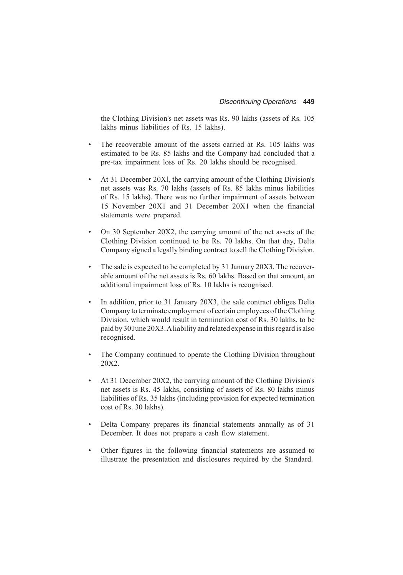the Clothing Division's net assets was Rs. 90 lakhs (assets of Rs. 105 lakhs minus liabilities of Rs. 15 lakhs).

- The recoverable amount of the assets carried at Rs. 105 lakhs was estimated to be Rs. 85 lakhs and the Company had concluded that a pre-tax impairment loss of Rs. 20 lakhs should be recognised.
- At 31 December 20Xl, the carrying amount of the Clothing Division's net assets was Rs. 70 lakhs (assets of Rs. 85 lakhs minus liabilities of Rs. 15 lakhs). There was no further impairment of assets between 15 November 20X1 and 31 December 20X1 when the financial statements were prepared.
- On 30 September 20X2, the carrying amount of the net assets of the Clothing Division continued to be Rs. 70 lakhs. On that day, Delta Company signed a legally binding contract to sell the Clothing Division.
- The sale is expected to be completed by 31 January 20X3. The recoverable amount of the net assets is Rs. 60 lakhs. Based on that amount, an additional impairment loss of Rs. 10 lakhs is recognised.
- In addition, prior to 31 January 20X3, the sale contract obliges Delta Company to terminate employment of certain employees of the Clothing Division, which would result in termination cost of Rs. 30 lakhs, to be paid by 30 June 20X3. A liability and related expense in this regard is also recognised.
- The Company continued to operate the Clothing Division throughout 20X2.
- At 31 December 20X2, the carrying amount of the Clothing Division's net assets is Rs. 45 lakhs, consisting of assets of Rs. 80 lakhs minus liabilities of Rs. 35 lakhs (including provision for expected termination cost of Rs. 30 lakhs).
- Delta Company prepares its financial statements annually as of 31 December. It does not prepare a cash flow statement.
- Other figures in the following financial statements are assumed to illustrate the presentation and disclosures required by the Standard.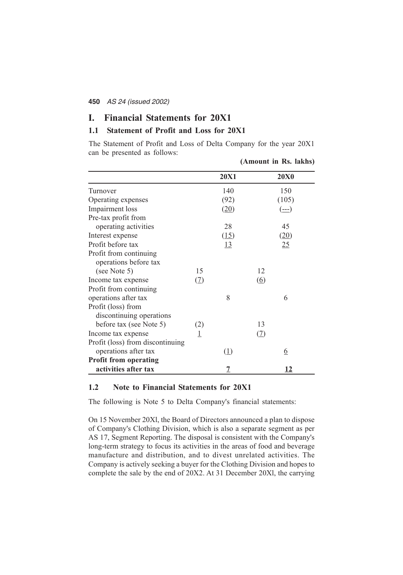#### **I. Financial Statements for 20X1**

#### **1.1 Statement of Profit and Loss for 20X1**

The Statement of Profit and Loss of Delta Company for the year 20X1 can be presented as follows:

|                                                 |     |                |                   | (Amount in Rs. lakhs)                    |
|-------------------------------------------------|-----|----------------|-------------------|------------------------------------------|
|                                                 |     | <b>20X1</b>    |                   | <b>20X0</b>                              |
| Turnover                                        |     | 140            |                   | 150                                      |
| Operating expenses                              |     | (92)           |                   | (105)                                    |
| Impairment loss                                 |     | (20)           |                   | $(\underline{\underline{\hspace{1ex}}})$ |
| Pre-tax profit from                             |     |                |                   |                                          |
| operating activities                            |     | 28             |                   | 45                                       |
| Interest expense                                |     | (15)           |                   | (20)                                     |
| Profit before tax                               |     | <u>13</u>      |                   | <u>25</u>                                |
| Profit from continuing<br>operations before tax |     |                |                   |                                          |
| (see Note 5)                                    | 15  |                | 12                |                                          |
| Income tax expense                              | (2) |                | $\underline{(6)}$ |                                          |
| Profit from continuing                          |     |                |                   |                                          |
| operations after tax                            |     | 8              |                   | 6                                        |
| Profit (loss) from                              |     |                |                   |                                          |
| discontinuing operations                        |     |                |                   |                                          |
| before tax (see Note 5)                         | (2) |                | 13                |                                          |
| Income tax expense                              | 1   |                | <u>(7)</u>        |                                          |
| Profit (loss) from discontinuing                |     |                |                   |                                          |
| operations after tax                            |     | (1)            |                   | <u>6</u>                                 |
| <b>Profit from operating</b>                    |     |                |                   |                                          |
| activities after tax                            |     | $\overline{1}$ |                   | 12                                       |

#### **1.2 Note to Financial Statements for 20X1**

The following is Note 5 to Delta Company's financial statements:

On 15 November 20Xl, the Board of Directors announced a plan to dispose of Company's Clothing Division, which is also a separate segment as per AS 17, Segment Reporting. The disposal is consistent with the Company's long-term strategy to focus its activities in the areas of food and beverage manufacture and distribution, and to divest unrelated activities. The Company is actively seeking a buyer for the Clothing Division and hopes to complete the sale by the end of 20X2. At 31 December 20Xl, the carrying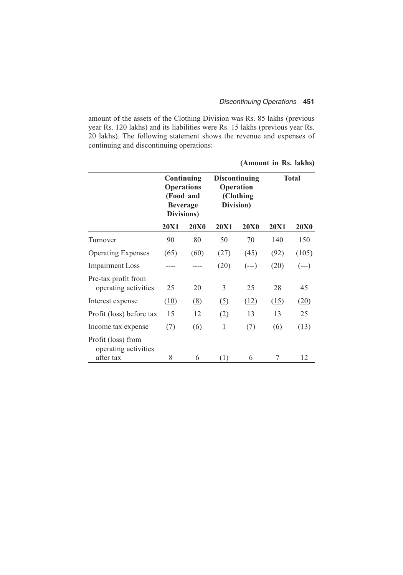#### *Discontinuing Operations* **451**

amount of the assets of the Clothing Division was Rs. 85 lakhs (previous year Rs. 120 lakhs) and its liabilities were Rs. 15 lakhs (previous year Rs. 20 lakhs). The following statement shows the revenue and expenses of continuing and discontinuing operations:

|                                                         |                                                                               |                   |                                                                    |                                          | (Amount in Rs. lakhs) |             |
|---------------------------------------------------------|-------------------------------------------------------------------------------|-------------------|--------------------------------------------------------------------|------------------------------------------|-----------------------|-------------|
|                                                         | Continuing<br><b>Operations</b><br>(Food and<br><b>Beverage</b><br>Divisions) |                   | <b>Discontinuing</b><br><b>Operation</b><br>(Clothing<br>Division) |                                          | <b>Total</b>          |             |
|                                                         | <b>20X1</b>                                                                   | <b>20X0</b>       | <b>20X1</b>                                                        | <b>20X0</b>                              | <b>20X1</b>           | <b>20X0</b> |
| Turnover                                                | 90                                                                            | 80                | 50                                                                 | 70                                       | 140                   | 150         |
| <b>Operating Expenses</b>                               | (65)                                                                          | (60)              | (27)                                                               | (45)                                     | (92)                  | (105)       |
| <b>Impairment Loss</b>                                  |                                                                               |                   | (20)                                                               | $(\underline{\underline{\hspace{1ex}}})$ | (20)                  | $(==)$      |
| Pre-tax profit from<br>operating activities             | 25                                                                            | 20                | 3                                                                  | 25                                       | 28                    | 45          |
| Interest expense                                        | (10)                                                                          | (8)               | (5)                                                                | (12)                                     | (15)                  | (20)        |
| Profit (loss) before tax                                | 15                                                                            | 12                | (2)                                                                | 13                                       | 13                    | 25          |
| Income tax expense                                      | (2)                                                                           | $\underline{(6)}$ | $\overline{\mathbf{1}}$                                            | (2)                                      | $\circ$               | (13)        |
| Profit (loss) from<br>operating activities<br>after tax | 8                                                                             | 6                 | (1)                                                                | 6                                        | 7                     | 12          |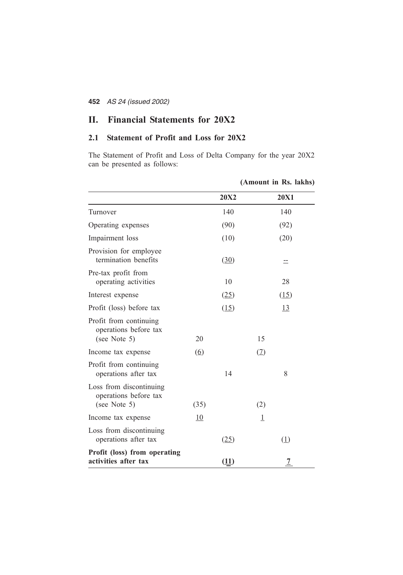## **II. Financial Statements for 20X2**

## **2.1 Statement of Profit and Loss for 20X2**

The Statement of Profit and Loss of Delta Company for the year 20X2 can be presented as follows:

|                                                                  |                   |             |         | (Amount in Rs. lakhs) |
|------------------------------------------------------------------|-------------------|-------------|---------|-----------------------|
|                                                                  |                   | <b>20X2</b> |         | <b>20X1</b>           |
| Turnover                                                         |                   | 140         |         | 140                   |
| Operating expenses                                               |                   | (90)        |         | (92)                  |
| Impairment loss                                                  |                   | (10)        |         | (20)                  |
| Provision for employee<br>termination benefits                   |                   | (30)        |         | ⋍                     |
| Pre-tax profit from<br>operating activities                      |                   | 10          |         | 28                    |
| Interest expense                                                 |                   | (25)        |         | (15)                  |
| Profit (loss) before tax                                         |                   | (15)        |         | <u>13</u>             |
| Profit from continuing<br>operations before tax<br>(see Note 5)  | 20                |             | 15      |                       |
| Income tax expense                                               | $\underline{(6)}$ |             | (2)     |                       |
| Profit from continuing<br>operations after tax                   |                   | 14          |         | 8                     |
| Loss from discontinuing<br>operations before tax<br>(see Note 5) | (35)              |             | (2)     |                       |
| Income tax expense                                               | 10                |             | $\perp$ |                       |
| Loss from discontinuing<br>operations after tax                  |                   | (25)        |         | (1)                   |
| Profit (loss) from operating<br>activities after tax             |                   | (11)        |         | $\overline{1}$        |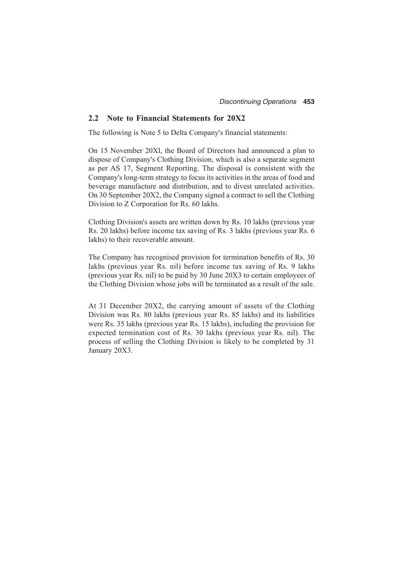#### **2.2 Note to Financial Statements for 20X2**

The following is Note 5 to Delta Company's financial statements:

On 15 November 20Xl, the Board of Directors had announced a plan to dispose of Company's Clothing Division, which is also a separate segment as per AS 17, Segment Reporting. The disposal is consistent with the Company's long-term strategy to focus its activities in the areas of food and beverage manufacture and distribution, and to divest unrelated activities. On 30 September 20X2, the Company signed a contract to sell the Clothing Division to Z Corporation for Rs. 60 lakhs.

Clothing Division's assets are written down by Rs. 10 lakhs (previous year Rs. 20 lakhs) before income tax saving of Rs. 3 lakhs (previous year Rs. 6 lakhs) to their recoverable amount.

The Company has recognised provision for termination benefits of Rs. 30 lakhs (previous year Rs. nil) before income tax saving of Rs. 9 lakhs (previous year Rs. nil) to be paid by 30 June 20X3 to certain employees of the Clothing Division whose jobs will be terminated as a result of the sale.

At 31 December 20X2, the carrying amount of assets of the Clothing Division was Rs. 80 lakhs (previous year Rs. 85 lakhs) and its liabilities were Rs. 35 lakhs (previous year Rs. 15 lakhs), including the provision for expected termination cost of Rs. 30 lakhs (previous year Rs. nil). The process of selling the Clothing Division is likely to be completed by 31 January 20X3.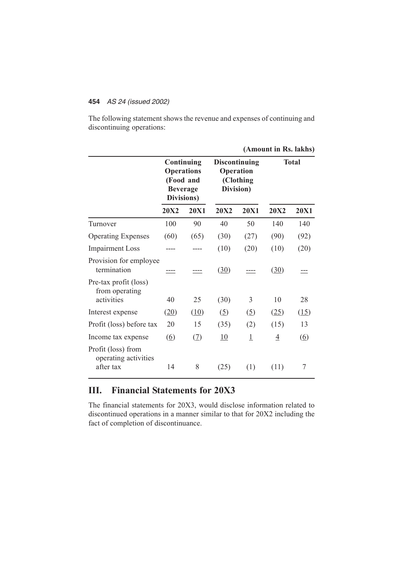The following statement shows the revenue and expenses of continuing and discontinuing operations:

|                                                         |                                                                               |             |                                                |                | (Amount in Rs. lakhs) |                   |
|---------------------------------------------------------|-------------------------------------------------------------------------------|-------------|------------------------------------------------|----------------|-----------------------|-------------------|
|                                                         | Continuing<br><b>Operations</b><br>(Food and<br><b>Beverage</b><br>Divisions) |             | <b>Discontinuing</b><br>Operation<br>Division) | (Clothing      | <b>Total</b>          |                   |
|                                                         | <b>20X2</b>                                                                   | <b>20X1</b> | <b>20X2</b>                                    | <b>20X1</b>    | <b>20X2</b>           | <b>20X1</b>       |
| Turnover                                                | 100                                                                           | 90          | 40                                             | 50             | 140                   | 140               |
| <b>Operating Expenses</b>                               | (60)                                                                          | (65)        | (30)                                           | (27)           | (90)                  | (92)              |
| <b>Impairment Loss</b>                                  |                                                                               |             | (10)                                           | (20)           | (10)                  | (20)              |
| Provision for employee<br>termination                   |                                                                               |             | (30)                                           |                | (30)                  |                   |
| Pre-tax profit (loss)<br>from operating<br>activities   | 40                                                                            | 25          | (30)                                           | 3              | 10                    | 28                |
| Interest expense                                        | (20)                                                                          | (10)        | (5)                                            | (5)            | (25)                  | (15)              |
| Profit (loss) before tax                                | 20                                                                            | 15          | (35)                                           | (2)            | (15)                  | 13                |
| Income tax expense                                      | $\underline{(6)}$                                                             | (2)         | 10                                             | $\overline{1}$ | $\overline{4}$        | $\underline{(6)}$ |
| Profit (loss) from<br>operating activities<br>after tax | 14                                                                            | 8           | (25)                                           | (1)            | (11)                  | 7                 |

## **III. Financial Statements for 20X3**

The financial statements for 20X3, would disclose information related to discontinued operations in a manner similar to that for 20X2 including the fact of completion of discontinuance.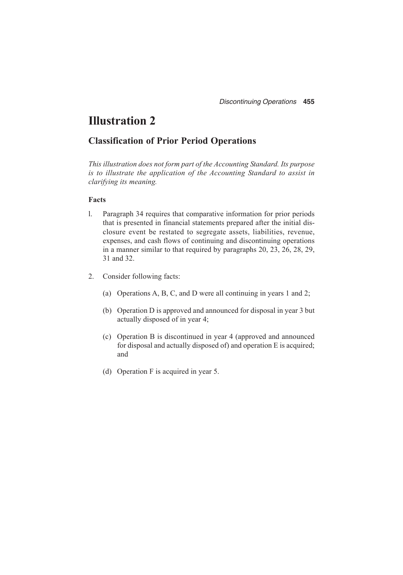# **Illustration 2**

## **Classification of Prior Period Operations**

*This illustration does not form part of the Accounting Standard. Its purpose is to illustrate the application of the Accounting Standard to assist in clarifying its meaning.*

#### **Facts**

- l. Paragraph 34 requires that comparative information for prior periods that is presented in financial statements prepared after the initial disclosure event be restated to segregate assets, liabilities, revenue, expenses, and cash flows of continuing and discontinuing operations in a manner similar to that required by paragraphs 20, 23, 26, 28, 29, 31 and 32.
- 2. Consider following facts:
	- (a) Operations A, B, C, and D were all continuing in years 1 and 2;
	- (b) Operation D is approved and announced for disposal in year 3 but actually disposed of in year 4;
	- (c) Operation B is discontinued in year 4 (approved and announced for disposal and actually disposed of) and operation E is acquired; and
	- (d) Operation F is acquired in year 5.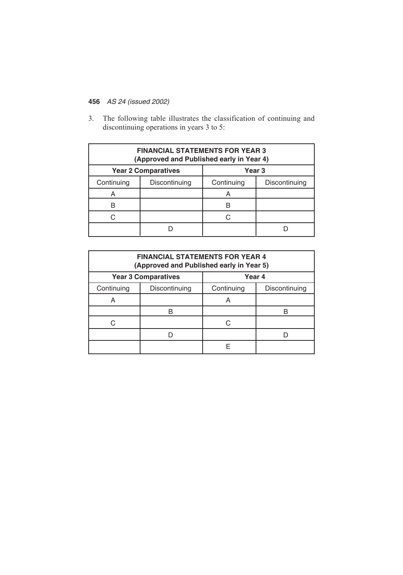3. The following table illustrates the classification of continuing and discontinuing operations in years 3 to 5:

| <b>FINANCIAL STATEMENTS FOR YEAR 3</b><br>(Approved and Published early in Year 4) |               |            |               |  |  |
|------------------------------------------------------------------------------------|---------------|------------|---------------|--|--|
| <b>Year 3</b><br><b>Year 2 Comparatives</b>                                        |               |            |               |  |  |
| Continuing                                                                         | Discontinuing | Continuing | Discontinuing |  |  |
| A                                                                                  |               | A          |               |  |  |
| R                                                                                  |               |            |               |  |  |
| r.                                                                                 |               | C          |               |  |  |
|                                                                                    |               |            |               |  |  |

| <b>FINANCIAL STATEMENTS FOR YEAR 4</b><br>(Approved and Published early in Year 5) |                            |            |               |  |  |  |
|------------------------------------------------------------------------------------|----------------------------|------------|---------------|--|--|--|
|                                                                                    | <b>Year 3 Comparatives</b> | Year 4     |               |  |  |  |
| Continuing                                                                         | Discontinuing              | Continuing | Discontinuing |  |  |  |
| A                                                                                  |                            | Α          |               |  |  |  |
|                                                                                    |                            |            |               |  |  |  |
|                                                                                    |                            | ◠          |               |  |  |  |
|                                                                                    |                            |            |               |  |  |  |
|                                                                                    |                            |            |               |  |  |  |